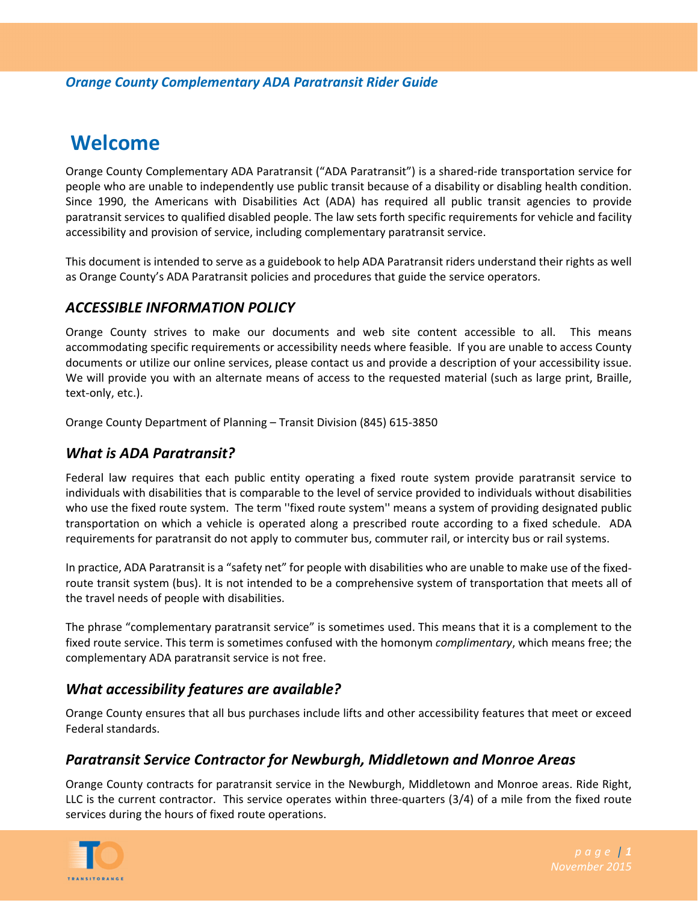# **Welcome**

Orange County Complementary ADA Paratransit ("ADA Paratransit") is a shared‐ride transportation service for people who are unable to independently use public transit because of a disability or disabling health condition. Since 1990, the Americans with Disabilities Act (ADA) has required all public transit agencies to provide paratransit services to qualified disabled people. The law sets forth specific requirements for vehicle and facility accessibility and provision of service, including complementary paratransit service.

This document is intended to serve as a guidebook to help ADA Paratransit riders understand their rights as well as Orange County's ADA Paratransit policies and procedures that guide the service operators.

## *ACCESSIBLE INFORMATION POLICY*

Orange County strives to make our documents and web site content accessible to all. This means accommodating specific requirements or accessibility needs where feasible. If you are unable to access County documents or utilize our online services, please contact us and provide a description of your accessibility issue. We will provide you with an alternate means of access to the requested material (such as large print, Braille, text‐only, etc.).

Orange County Department of Planning – Transit Division (845) 615‐3850

## *What is ADA Paratransit?*

Federal law requires that each public entity operating a fixed route system provide paratransit service to individuals with disabilities that is comparable to the level of service provided to individuals without disabilities who use the fixed route system. The term ''fixed route system'' means a system of providing designated public transportation on which a vehicle is operated along a prescribed route according to a fixed schedule. ADA requirements for paratransit do not apply to commuter bus, commuter rail, or intercity bus or rail systems.

In practice, ADA Paratransit is a "safety net" for people with disabilities who are unable to make use of the fixed‐ route transit system (bus). It is not intended to be a comprehensive system of transportation that meets all of the travel needs of people with disabilities.

The phrase "complementary paratransit service" is sometimes used. This means that it is a complement to the fixed route service. This term is sometimes confused with the homonym *complimentary*, which means free; the complementary ADA paratransit service is not free.

# *What accessibility features are available?*

Orange County ensures that all bus purchases include lifts and other accessibility features that meet or exceed Federal standards.

## *Paratransit Service Contractor for Newburgh, Middletown and Monroe Areas*

Orange County contracts for paratransit service in the Newburgh, Middletown and Monroe areas. Ride Right, LLC is the current contractor. This service operates within three-quarters (3/4) of a mile from the fixed route services during the hours of fixed route operations.

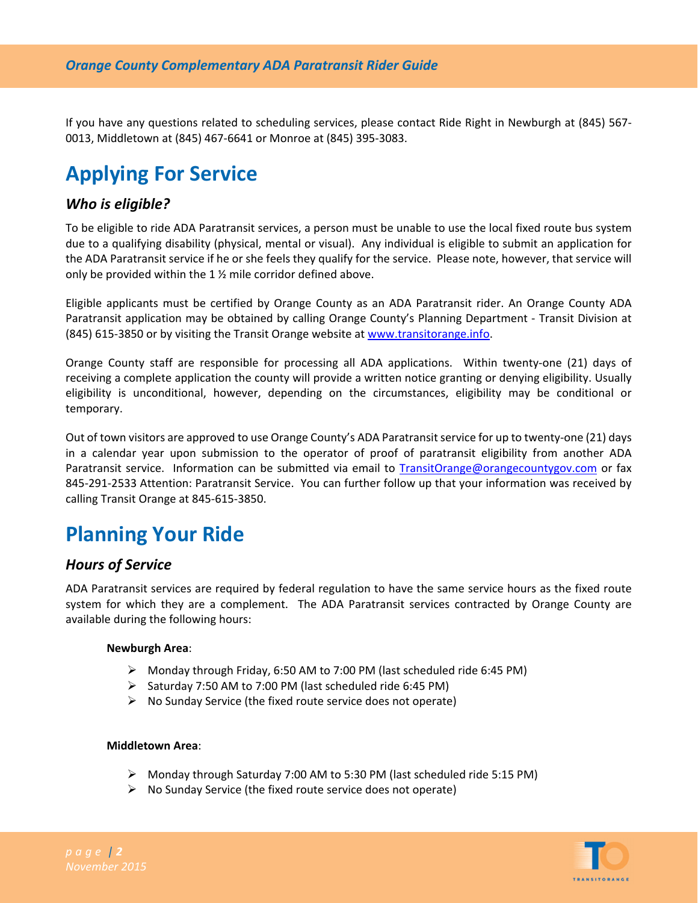If you have any questions related to scheduling services, please contact Ride Right in Newburgh at (845) 567‐ 0013, Middletown at (845) 467‐6641 or Monroe at (845) 395‐3083.

# **Applying For Service**

#### *Who is eligible?*

To be eligible to ride ADA Paratransit services, a person must be unable to use the local fixed route bus system due to a qualifying disability (physical, mental or visual). Any individual is eligible to submit an application for the ADA Paratransit service if he or she feels they qualify for the service. Please note, however, that service will only be provided within the 1 ½ mile corridor defined above.

Eligible applicants must be certified by Orange County as an ADA Paratransit rider. An Orange County ADA Paratransit application may be obtained by calling Orange County's Planning Department ‐ Transit Division at (845) 615‐3850 or by visiting the Transit Orange website at www.transitorange.info.

Orange County staff are responsible for processing all ADA applications. Within twenty-one (21) days of receiving a complete application the county will provide a written notice granting or denying eligibility. Usually eligibility is unconditional, however, depending on the circumstances, eligibility may be conditional or temporary.

Out of town visitors are approved to use Orange County's ADA Paratransit service for up to twenty-one (21) days in a calendar year upon submission to the operator of proof of paratransit eligibility from another ADA Paratransit service. Information can be submitted via email to TransitOrange@orangecountygov.com or fax 845‐291‐2533 Attention: Paratransit Service. You can further follow up that your information was received by calling Transit Orange at 845‐615‐3850.

# **Planning Your Ride**

#### *Hours of Service*

ADA Paratransit services are required by federal regulation to have the same service hours as the fixed route system for which they are a complement. The ADA Paratransit services contracted by Orange County are available during the following hours:

#### **Newburgh Area**:

- Monday through Friday, 6:50 AM to 7:00 PM (last scheduled ride 6:45 PM)
- $\triangleright$  Saturday 7:50 AM to 7:00 PM (last scheduled ride 6:45 PM)
- $\triangleright$  No Sunday Service (the fixed route service does not operate)

#### **Middletown Area**:

- Monday through Saturday 7:00 AM to 5:30 PM (last scheduled ride 5:15 PM)
- $\triangleright$  No Sunday Service (the fixed route service does not operate)

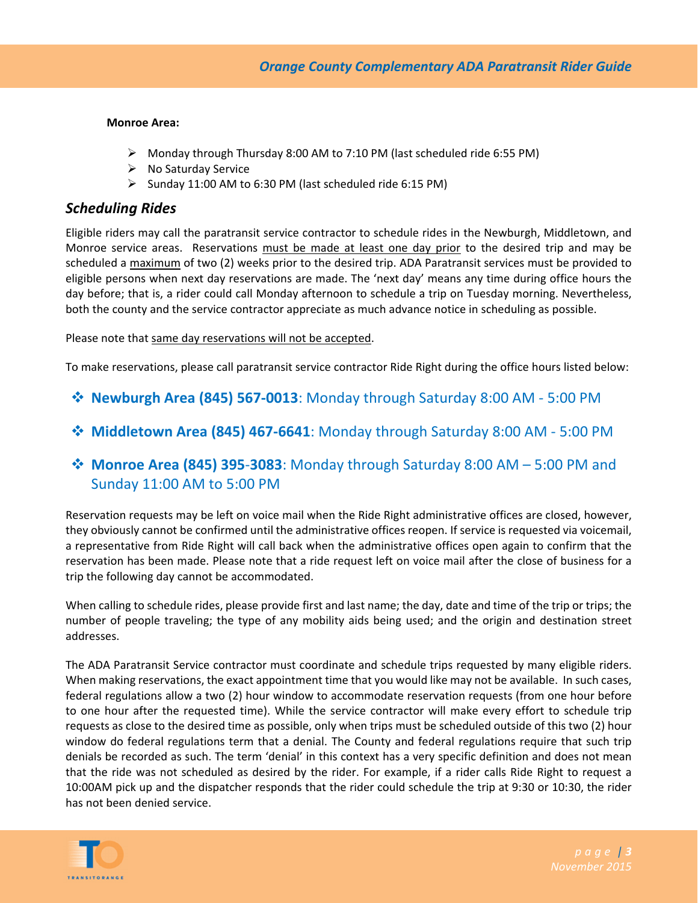#### **Monroe Area:**

- $\triangleright$  Monday through Thursday 8:00 AM to 7:10 PM (last scheduled ride 6:55 PM)
- $\triangleright$  No Saturday Service
- $\triangleright$  Sunday 11:00 AM to 6:30 PM (last scheduled ride 6:15 PM)

#### *Scheduling Rides*

Eligible riders may call the paratransit service contractor to schedule rides in the Newburgh, Middletown, and Monroe service areas. Reservations must be made at least one day prior to the desired trip and may be scheduled a maximum of two (2) weeks prior to the desired trip. ADA Paratransit services must be provided to eligible persons when next day reservations are made. The 'next day' means any time during office hours the day before; that is, a rider could call Monday afternoon to schedule a trip on Tuesday morning. Nevertheless, both the county and the service contractor appreciate as much advance notice in scheduling as possible.

Please note that same day reservations will not be accepted.

To make reservations, please call paratransit service contractor Ride Right during the office hours listed below:

- **Newburgh Area (845) 567‐0013**: Monday through Saturday 8:00 AM ‐ 5:00 PM
- **Middletown Area (845) 467‐6641**: Monday through Saturday 8:00 AM ‐ 5:00 PM
- **Monroe Area (845) 395**‐**3083**: Monday through Saturday 8:00 AM 5:00 PM and Sunday 11:00 AM to 5:00 PM

Reservation requests may be left on voice mail when the Ride Right administrative offices are closed, however, they obviously cannot be confirmed until the administrative offices reopen. If service is requested via voicemail, a representative from Ride Right will call back when the administrative offices open again to confirm that the reservation has been made. Please note that a ride request left on voice mail after the close of business for a trip the following day cannot be accommodated.

When calling to schedule rides, please provide first and last name; the day, date and time of the trip or trips; the number of people traveling; the type of any mobility aids being used; and the origin and destination street addresses.

The ADA Paratransit Service contractor must coordinate and schedule trips requested by many eligible riders. When making reservations, the exact appointment time that you would like may not be available. In such cases, federal regulations allow a two (2) hour window to accommodate reservation requests (from one hour before to one hour after the requested time). While the service contractor will make every effort to schedule trip requests as close to the desired time as possible, only when trips must be scheduled outside of this two (2) hour window do federal regulations term that a denial. The County and federal regulations require that such trip denials be recorded as such. The term 'denial' in this context has a very specific definition and does not mean that the ride was not scheduled as desired by the rider. For example, if a rider calls Ride Right to request a 10:00AM pick up and the dispatcher responds that the rider could schedule the trip at 9:30 or 10:30, the rider has not been denied service.

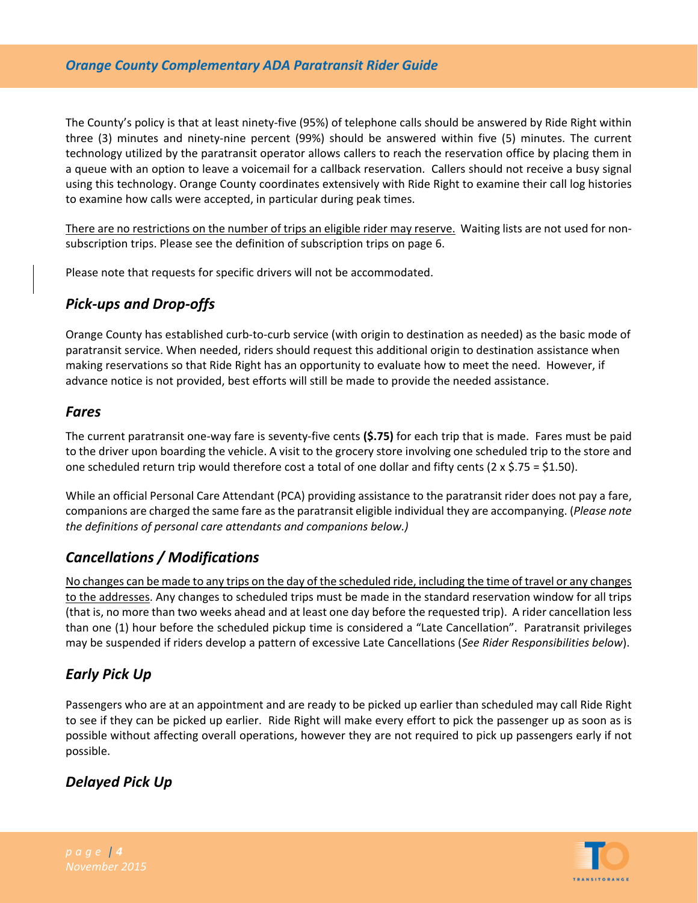#### *Orange County Complementary ADA Paratransit Rider Guide*

The County's policy is that at least ninety‐five (95%) of telephone calls should be answered by Ride Right within three (3) minutes and ninety-nine percent (99%) should be answered within five (5) minutes. The current technology utilized by the paratransit operator allows callers to reach the reservation office by placing them in a queue with an option to leave a voicemail for a callback reservation. Callers should not receive a busy signal using this technology. Orange County coordinates extensively with Ride Right to examine their call log histories to examine how calls were accepted, in particular during peak times.

There are no restrictions on the number of trips an eligible rider may reserve. Waiting lists are not used for non‐ subscription trips. Please see the definition of subscription trips on page 6.

Please note that requests for specific drivers will not be accommodated.

# *Pick‐ups and Drop‐offs*

Orange County has established curb‐to‐curb service (with origin to destination as needed) as the basic mode of paratransit service. When needed, riders should request this additional origin to destination assistance when making reservations so that Ride Right has an opportunity to evaluate how to meet the need. However, if advance notice is not provided, best efforts will still be made to provide the needed assistance.

#### *Fares*

The current paratransit one‐way fare is seventy‐five cents **(\$.75)** for each trip that is made. Fares must be paid to the driver upon boarding the vehicle. A visit to the grocery store involving one scheduled trip to the store and one scheduled return trip would therefore cost a total of one dollar and fifty cents (2 x \$.75 = \$1.50).

While an official Personal Care Attendant (PCA) providing assistance to the paratransit rider does not pay a fare, companions are charged the same fare asthe paratransit eligible individual they are accompanying. (*Please note the definitions of personal care attendants and companions below.)*

# *Cancellations / Modifications*

No changes can be made to any trips on the day of the scheduled ride, including the time of travel or any changes to the addresses. Any changes to scheduled trips must be made in the standard reservation window for all trips (that is, no more than two weeks ahead and at least one day before the requested trip). A rider cancellation less than one (1) hour before the scheduled pickup time is considered a "Late Cancellation". Paratransit privileges may be suspended if riders develop a pattern of excessive Late Cancellations (*See Rider Responsibilities below*).

## *Early Pick Up*

Passengers who are at an appointment and are ready to be picked up earlier than scheduled may call Ride Right to see if they can be picked up earlier. Ride Right will make every effort to pick the passenger up as soon as is possible without affecting overall operations, however they are not required to pick up passengers early if not possible.

# *Delayed Pick Up*

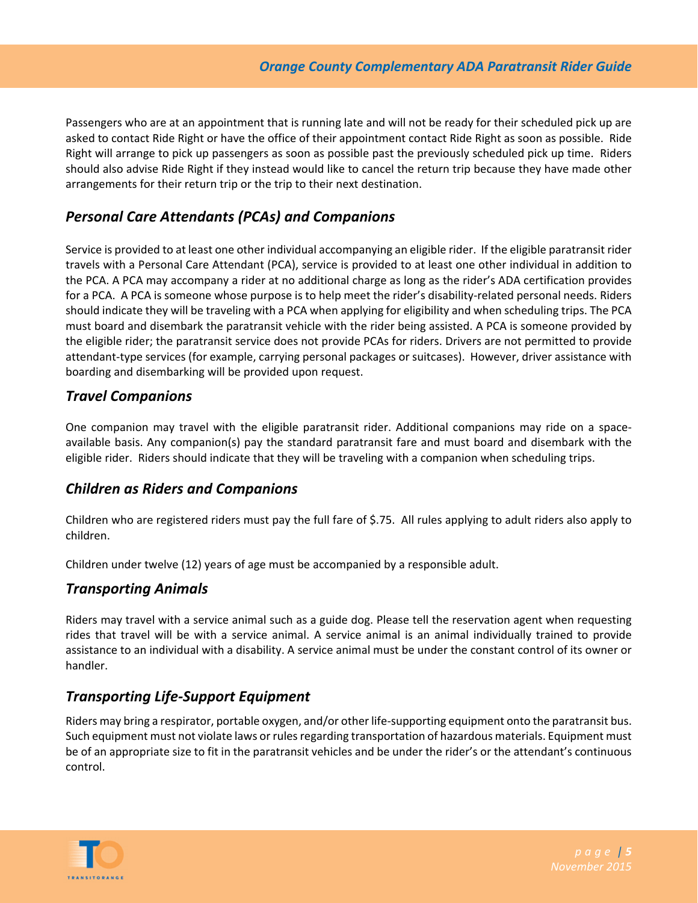Passengers who are at an appointment that is running late and will not be ready for their scheduled pick up are asked to contact Ride Right or have the office of their appointment contact Ride Right as soon as possible. Ride Right will arrange to pick up passengers as soon as possible past the previously scheduled pick up time. Riders should also advise Ride Right if they instead would like to cancel the return trip because they have made other arrangements for their return trip or the trip to their next destination.

## *Personal Care Attendants (PCAs) and Companions*

Service is provided to at least one other individual accompanying an eligible rider. If the eligible paratransit rider travels with a Personal Care Attendant (PCA), service is provided to at least one other individual in addition to the PCA. A PCA may accompany a rider at no additional charge as long as the rider's ADA certification provides for a PCA. A PCA is someone whose purpose is to help meet the rider's disability-related personal needs. Riders should indicate they will be traveling with a PCA when applying for eligibility and when scheduling trips. The PCA must board and disembark the paratransit vehicle with the rider being assisted. A PCA is someone provided by the eligible rider; the paratransit service does not provide PCAs for riders. Drivers are not permitted to provide attendant-type services (for example, carrying personal packages or suitcases). However, driver assistance with boarding and disembarking will be provided upon request.

#### *Travel Companions*

One companion may travel with the eligible paratransit rider. Additional companions may ride on a space‐ available basis. Any companion(s) pay the standard paratransit fare and must board and disembark with the eligible rider. Riders should indicate that they will be traveling with a companion when scheduling trips.

#### *Children as Riders and Companions*

Children who are registered riders must pay the full fare of \$.75. All rules applying to adult riders also apply to children.

Children under twelve (12) years of age must be accompanied by a responsible adult.

#### *Transporting Animals*

Riders may travel with a service animal such as a guide dog. Please tell the reservation agent when requesting rides that travel will be with a service animal. A service animal is an animal individually trained to provide assistance to an individual with a disability. A service animal must be under the constant control of its owner or handler.

## *Transporting Life‐Support Equipment*

Riders may bring a respirator, portable oxygen, and/or other life‐supporting equipment onto the paratransit bus. Such equipment must not violate laws or rules regarding transportation of hazardous materials. Equipment must be of an appropriate size to fit in the paratransit vehicles and be under the rider's or the attendant's continuous control.

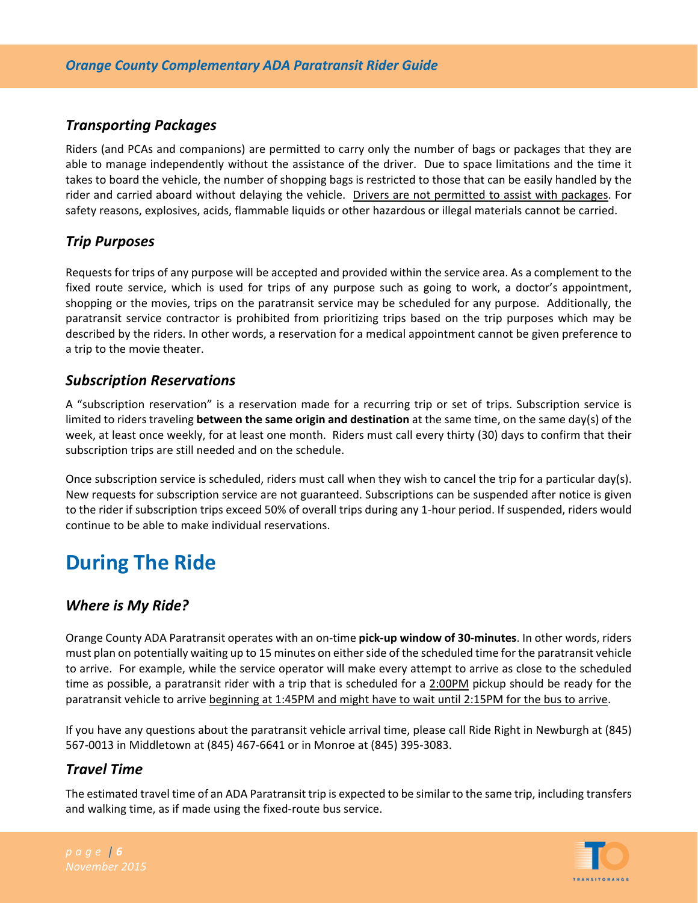# *Transporting Packages*

Riders (and PCAs and companions) are permitted to carry only the number of bags or packages that they are able to manage independently without the assistance of the driver. Due to space limitations and the time it takes to board the vehicle, the number of shopping bags is restricted to those that can be easily handled by the rider and carried aboard without delaying the vehicle. Drivers are not permitted to assist with packages. For safety reasons, explosives, acids, flammable liquids or other hazardous or illegal materials cannot be carried.

# *Trip Purposes*

Requests for trips of any purpose will be accepted and provided within the service area. As a complement to the fixed route service, which is used for trips of any purpose such as going to work, a doctor's appointment, shopping or the movies, trips on the paratransit service may be scheduled for any purpose. Additionally, the paratransit service contractor is prohibited from prioritizing trips based on the trip purposes which may be described by the riders. In other words, a reservation for a medical appointment cannot be given preference to a trip to the movie theater.

# *Subscription Reservations*

A "subscription reservation" is a reservation made for a recurring trip or set of trips. Subscription service is limited to riders traveling **between the same origin and destination** at the same time, on the same day(s) of the week, at least once weekly, for at least one month. Riders must call every thirty (30) days to confirm that their subscription trips are still needed and on the schedule.

Once subscription service is scheduled, riders must call when they wish to cancel the trip for a particular day(s). New requests for subscription service are not guaranteed. Subscriptions can be suspended after notice is given to the rider if subscription trips exceed 50% of overall trips during any 1‐hour period. If suspended, riders would continue to be able to make individual reservations.

# **During The Ride**

## *Where is My Ride?*

Orange County ADA Paratransit operates with an on‐time **pick‐up window of 30‐minutes**. In other words, riders must plan on potentially waiting up to 15 minutes on eitherside of the scheduled time for the paratransit vehicle to arrive. For example, while the service operator will make every attempt to arrive as close to the scheduled time as possible, a paratransit rider with a trip that is scheduled for a 2:00PM pickup should be ready for the paratransit vehicle to arrive beginning at 1:45PM and might have to wait until 2:15PM for the bus to arrive.

If you have any questions about the paratransit vehicle arrival time, please call Ride Right in Newburgh at (845) 567‐0013 in Middletown at (845) 467‐6641 or in Monroe at (845) 395‐3083.

# *Travel Time*

The estimated travel time of an ADA Paratransit trip is expected to be similar to the same trip, including transfers and walking time, as if made using the fixed-route bus service.

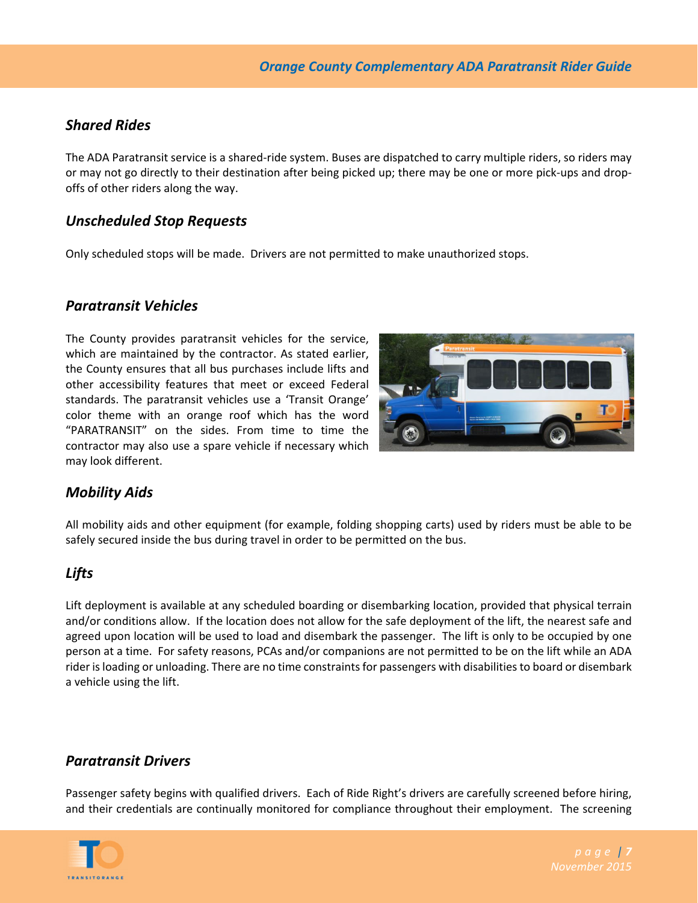## *Shared Rides*

The ADA Paratransit service is a shared‐ride system. Buses are dispatched to carry multiple riders, so riders may or may not go directly to their destination after being picked up; there may be one or more pick‐ups and drop‐ offs of other riders along the way.

## *Unscheduled Stop Requests*

Only scheduled stops will be made. Drivers are not permitted to make unauthorized stops.

## *Paratransit Vehicles*

The County provides paratransit vehicles for the service, which are maintained by the contractor. As stated earlier, the County ensures that all bus purchases include lifts and other accessibility features that meet or exceed Federal standards. The paratransit vehicles use a 'Transit Orange' color theme with an orange roof which has the word "PARATRANSIT" on the sides. From time to time the contractor may also use a spare vehicle if necessary which may look different.



# *Mobility Aids*

All mobility aids and other equipment (for example, folding shopping carts) used by riders must be able to be safely secured inside the bus during travel in order to be permitted on the bus.

## *Lifts*

Lift deployment is available at any scheduled boarding or disembarking location, provided that physical terrain and/or conditions allow. If the location does not allow for the safe deployment of the lift, the nearest safe and agreed upon location will be used to load and disembark the passenger. The lift is only to be occupied by one person at a time. For safety reasons, PCAs and/or companions are not permitted to be on the lift while an ADA rider is loading or unloading. There are no time constraints for passengers with disabilities to board or disembark a vehicle using the lift.

## *Paratransit Drivers*

Passenger safety begins with qualified drivers. Each of Ride Right's drivers are carefully screened before hiring, and their credentials are continually monitored for compliance throughout their employment. The screening

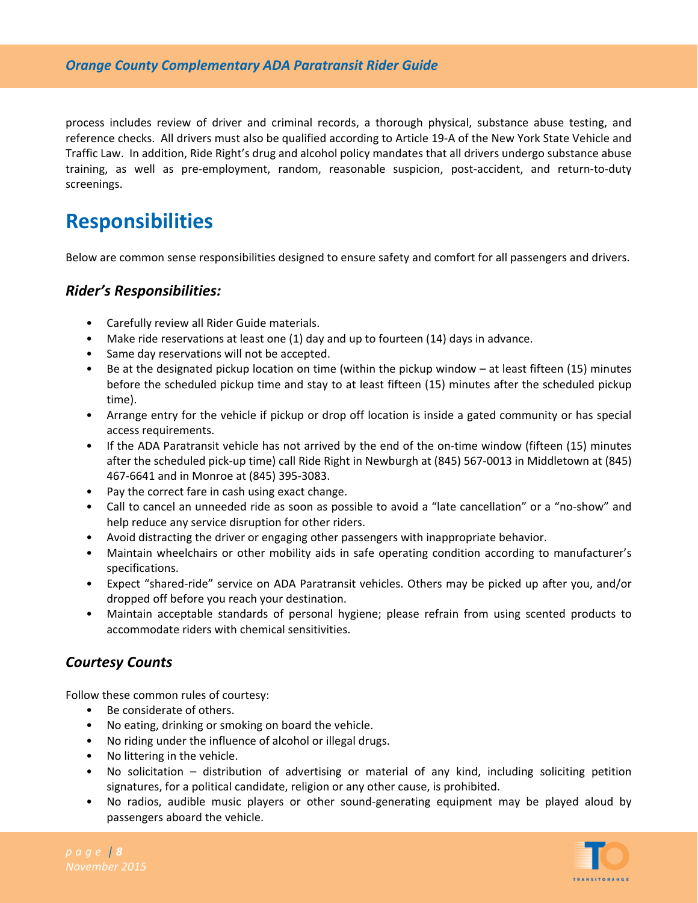process includes review of driver and criminal records, a thorough physical, substance abuse testing, and reference checks. All drivers must also be qualified according to Article 19‐A of the New York State Vehicle and Traffic Law. In addition, Ride Right's drug and alcohol policy mandates that all drivers undergo substance abuse training, as well as pre‐employment, random, reasonable suspicion, post‐accident, and return‐to‐duty screenings.

# **Responsibilities**

Below are common sense responsibilities designed to ensure safety and comfort for all passengers and drivers.

#### *Rider's Responsibilities:*

- Carefully review all Rider Guide materials.
- Make ride reservations at least one (1) day and up to fourteen (14) days in advance.
- Same day reservations will not be accepted.
- Be at the designated pickup location on time (within the pickup window at least fifteen (15) minutes before the scheduled pickup time and stay to at least fifteen (15) minutes after the scheduled pickup time).
- Arrange entry for the vehicle if pickup or drop off location is inside a gated community or has special access requirements.
- If the ADA Paratransit vehicle has not arrived by the end of the on-time window (fifteen (15) minutes after the scheduled pick‐up time) call Ride Right in Newburgh at (845) 567‐0013 in Middletown at (845) 467‐6641 and in Monroe at (845) 395‐3083.
- Pay the correct fare in cash using exact change.
- Call to cancel an unneeded ride as soon as possible to avoid a "late cancellation" or a "no-show" and help reduce any service disruption for other riders.
- Avoid distracting the driver or engaging other passengers with inappropriate behavior.
- Maintain wheelchairs or other mobility aids in safe operating condition according to manufacturer's specifications.
- Expect "shared‐ride" service on ADA Paratransit vehicles. Others may be picked up after you, and/or dropped off before you reach your destination.
- Maintain acceptable standards of personal hygiene; please refrain from using scented products to accommodate riders with chemical sensitivities.

## *Courtesy Counts*

Follow these common rules of courtesy:

- Be considerate of others.
- No eating, drinking or smoking on board the vehicle.
- No riding under the influence of alcohol or illegal drugs.
- No littering in the vehicle.
- No solicitation distribution of advertising or material of any kind, including soliciting petition signatures, for a political candidate, religion or any other cause, is prohibited.
- No radios, audible music players or other sound-generating equipment may be played aloud by passengers aboard the vehicle.

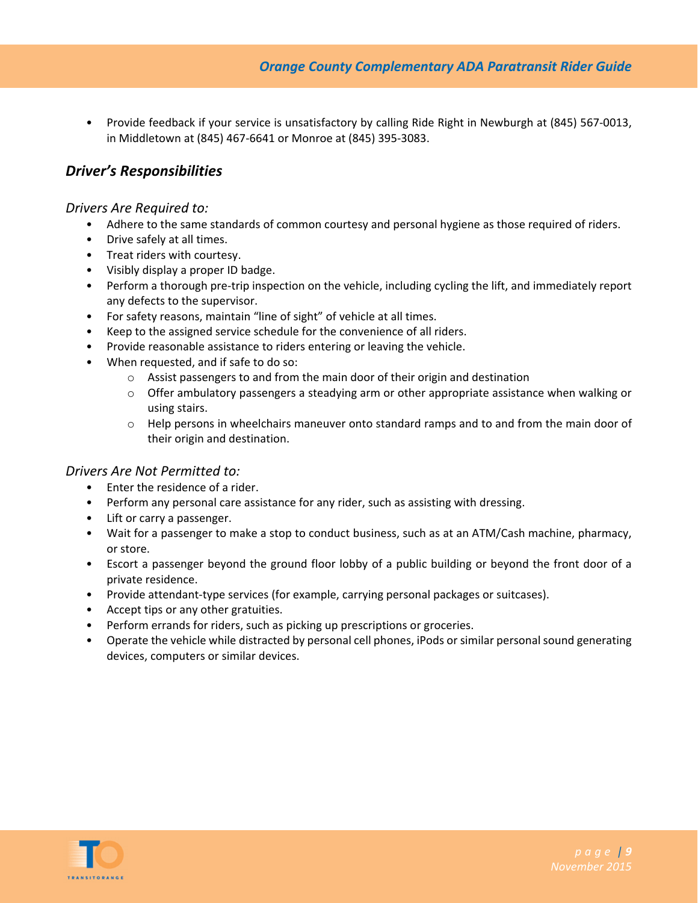• Provide feedback if your service is unsatisfactory by calling Ride Right in Newburgh at (845) 567‐0013, in Middletown at (845) 467‐6641 or Monroe at (845) 395‐3083.

#### *Driver's Responsibilities*

#### *Drivers Are Required to:*

- Adhere to the same standards of common courtesy and personal hygiene as those required of riders.
- Drive safely at all times.
- Treat riders with courtesy.
- Visibly display a proper ID badge.
- Perform a thorough pre-trip inspection on the vehicle, including cycling the lift, and immediately report any defects to the supervisor.
- For safety reasons, maintain "line of sight" of vehicle at all times.
- Keep to the assigned service schedule for the convenience of all riders.
- Provide reasonable assistance to riders entering or leaving the vehicle.
- When requested, and if safe to do so:
	- $\circ$  Assist passengers to and from the main door of their origin and destination
	- $\circ$  Offer ambulatory passengers a steadying arm or other appropriate assistance when walking or using stairs.
	- $\circ$  Help persons in wheelchairs maneuver onto standard ramps and to and from the main door of their origin and destination.

#### *Drivers Are Not Permitted to:*

- Enter the residence of a rider.
- Perform any personal care assistance for any rider, such as assisting with dressing.
- Lift or carry a passenger.
- Wait for a passenger to make a stop to conduct business, such as at an ATM/Cash machine, pharmacy, or store.
- Escort a passenger beyond the ground floor lobby of a public building or beyond the front door of a private residence.
- Provide attendant-type services (for example, carrying personal packages or suitcases).
- Accept tips or any other gratuities.
- Perform errands for riders, such as picking up prescriptions or groceries.
- Operate the vehicle while distracted by personal cell phones, iPods or similar personal sound generating devices, computers or similar devices.

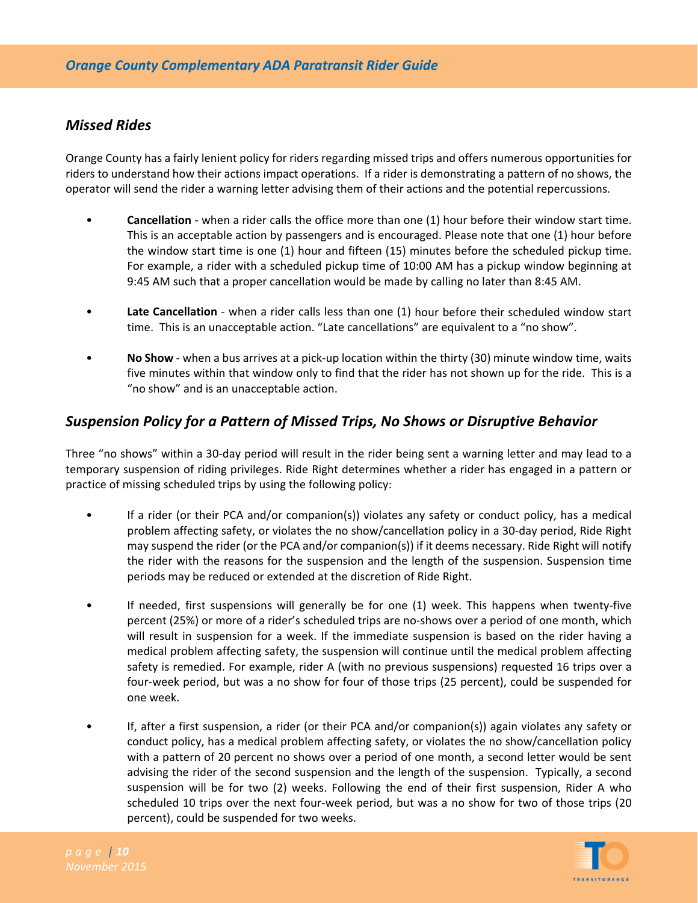#### *Missed Rides*

Orange County has a fairly lenient policy for riders regarding missed trips and offers numerous opportunities for riders to understand how their actions impact operations. If a rider is demonstrating a pattern of no shows, the operator will send the rider a warning letter advising them of their actions and the potential repercussions.

- **Cancellation** ‐ when a rider calls the office more than one (1) hour before their window start time. This is an acceptable action by passengers and is encouraged. Please note that one (1) hour before the window start time is one (1) hour and fifteen (15) minutes before the scheduled pickup time. For example, a rider with a scheduled pickup time of 10:00 AM has a pickup window beginning at 9:45 AM such that a proper cancellation would be made by calling no later than 8:45 AM.
- **Late Cancellation** ‐ when a rider calls less than one (1) hour before their scheduled window start time. This is an unacceptable action. "Late cancellations" are equivalent to a "no show".
- **No Show** ‐ when a bus arrives at a pick‐up location within the thirty (30) minute window time, waits five minutes within that window only to find that the rider has not shown up for the ride. This is a "no show" and is an unacceptable action.

## *Suspension Policy for a Pattern of Missed Trips, No Shows or Disruptive Behavior*

Three "no shows" within a 30‐day period will result in the rider being sent a warning letter and may lead to a temporary suspension of riding privileges. Ride Right determines whether a rider has engaged in a pattern or practice of missing scheduled trips by using the following policy:

- If a rider (or their PCA and/or companion(s)) violates any safety or conduct policy, has a medical problem affecting safety, or violates the no show/cancellation policy in a 30‐day period, Ride Right may suspend the rider (or the PCA and/or companion(s)) if it deems necessary. Ride Right will notify the rider with the reasons for the suspension and the length of the suspension. Suspension time periods may be reduced or extended at the discretion of Ride Right.
- If needed, first suspensions will generally be for one (1) week. This happens when twenty‐five percent (25%) or more of a rider's scheduled trips are no‐shows over a period of one month, which will result in suspension for a week. If the immediate suspension is based on the rider having a medical problem affecting safety, the suspension will continue until the medical problem affecting safety is remedied. For example, rider A (with no previous suspensions) requested 16 trips over a four-week period, but was a no show for four of those trips (25 percent), could be suspended for one week.
- If, after a first suspension, a rider (or their PCA and/or companion(s)) again violates any safety or conduct policy, has a medical problem affecting safety, or violates the no show/cancellation policy with a pattern of 20 percent no shows over a period of one month, a second letter would be sent advising the rider of the second suspension and the length of the suspension. Typically, a second suspension will be for two (2) weeks. Following the end of their first suspension, Rider A who scheduled 10 trips over the next four‐week period, but was a no show for two of those trips (20 percent), could be suspended for two weeks.

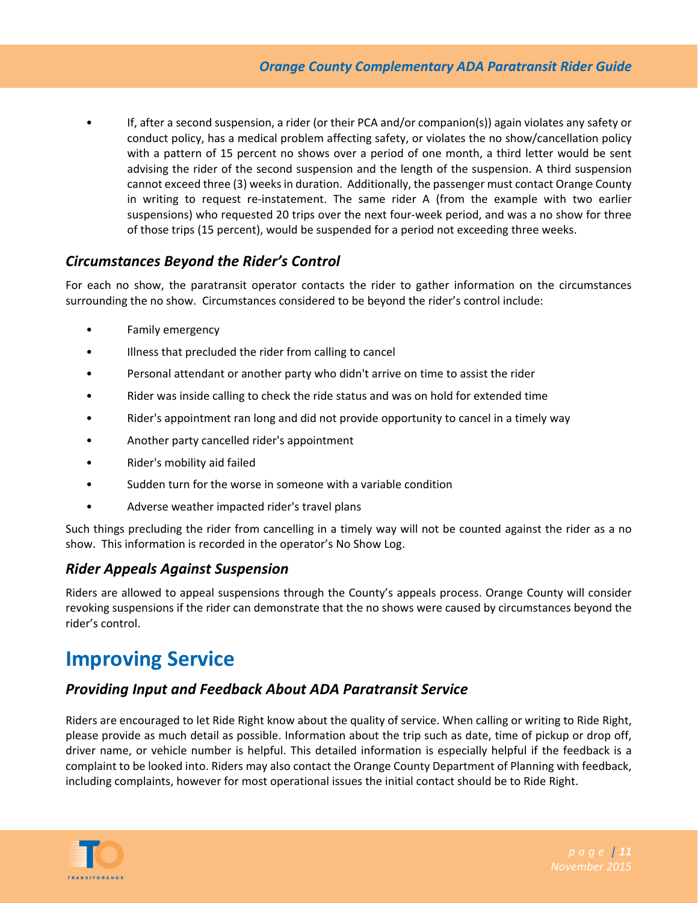• If, after a second suspension, a rider (or their PCA and/or companion(s)) again violates any safety or conduct policy, has a medical problem affecting safety, or violates the no show/cancellation policy with a pattern of 15 percent no shows over a period of one month, a third letter would be sent advising the rider of the second suspension and the length of the suspension. A third suspension cannot exceed three (3) weeks in duration. Additionally, the passenger must contact Orange County in writing to request re-instatement. The same rider A (from the example with two earlier suspensions) who requested 20 trips over the next four-week period, and was a no show for three of those trips (15 percent), would be suspended for a period not exceeding three weeks.

# *Circumstances Beyond the Rider's Control*

For each no show, the paratransit operator contacts the rider to gather information on the circumstances surrounding the no show. Circumstances considered to be beyond the rider's control include:

- Family emergency
- Illness that precluded the rider from calling to cancel
- Personal attendant or another party who didn't arrive on time to assist the rider
- Rider was inside calling to check the ride status and was on hold for extended time
- Rider's appointment ran long and did not provide opportunity to cancel in a timely way
- Another party cancelled rider's appointment
- Rider's mobility aid failed
- Sudden turn for the worse in someone with a variable condition
- Adverse weather impacted rider's travel plans

Such things precluding the rider from cancelling in a timely way will not be counted against the rider as a no show. This information is recorded in the operator's No Show Log.

#### *Rider Appeals Against Suspension*

Riders are allowed to appeal suspensions through the County's appeals process. Orange County will consider revoking suspensions if the rider can demonstrate that the no shows were caused by circumstances beyond the rider's control.

# **Improving Service**

## *Providing Input and Feedback About ADA Paratransit Service*

Riders are encouraged to let Ride Right know about the quality of service. When calling or writing to Ride Right, please provide as much detail as possible. Information about the trip such as date, time of pickup or drop off, driver name, or vehicle number is helpful. This detailed information is especially helpful if the feedback is a complaint to be looked into. Riders may also contact the Orange County Department of Planning with feedback, including complaints, however for most operational issues the initial contact should be to Ride Right.

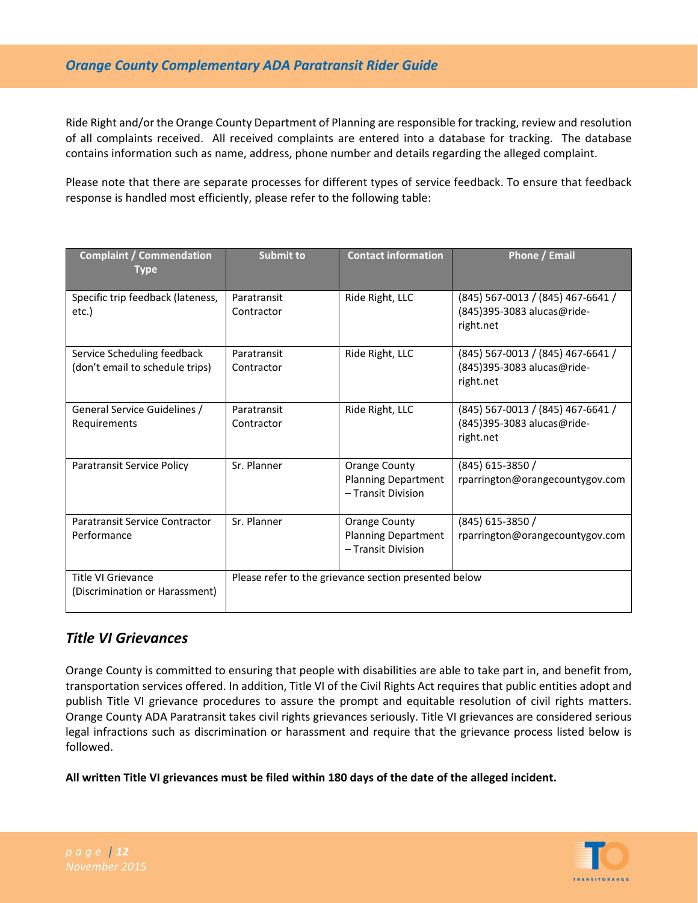Ride Right and/or the Orange County Department of Planning are responsible for tracking, review and resolution of all complaints received. All received complaints are entered into a database for tracking. The database contains information such as name, address, phone number and details regarding the alleged complaint.

Please note that there are separate processes for different types of service feedback. To ensure that feedback response is handled most efficiently, please refer to the following table:

| <b>Complaint / Commendation</b><br>Type                        | <b>Submit to</b>                                      | <b>Contact information</b>                                               | <b>Phone / Email</b>                                                         |
|----------------------------------------------------------------|-------------------------------------------------------|--------------------------------------------------------------------------|------------------------------------------------------------------------------|
| Specific trip feedback (lateness,<br>etc.)                     | Paratransit<br>Contractor                             | Ride Right, LLC                                                          | (845) 567-0013 / (845) 467-6641 /<br>(845)395-3083 alucas@ride-<br>right.net |
| Service Scheduling feedback<br>(don't email to schedule trips) | Paratransit<br>Contractor                             | Ride Right, LLC                                                          | (845) 567-0013 / (845) 467-6641 /<br>(845)395-3083 alucas@ride-<br>right.net |
| General Service Guidelines /<br>Requirements                   | Paratransit<br>Contractor                             | Ride Right, LLC                                                          | (845) 567-0013 / (845) 467-6641 /<br>(845)395-3083 alucas@ride-<br>right.net |
| <b>Paratransit Service Policy</b>                              | Sr. Planner                                           | <b>Orange County</b><br><b>Planning Department</b><br>- Transit Division | (845) 615-3850 /<br>rparrington@orangecountygov.com                          |
| Paratransit Service Contractor<br>Performance                  | Sr. Planner                                           | <b>Orange County</b><br><b>Planning Department</b><br>- Transit Division | (845) 615-3850 /<br>rparrington@orangecountygov.com                          |
| Title VI Grievance<br>(Discrimination or Harassment)           | Please refer to the grievance section presented below |                                                                          |                                                                              |

## *Title VI Grievances*

Orange County is committed to ensuring that people with disabilities are able to take part in, and benefit from, transportation services offered. In addition, Title VI of the Civil Rights Act requires that public entities adopt and publish Title VI grievance procedures to assure the prompt and equitable resolution of civil rights matters. Orange County ADA Paratransit takes civil rights grievances seriously. Title VI grievances are considered serious legal infractions such as discrimination or harassment and require that the grievance process listed below is followed.

**All written Title VI grievances must be filed within 180 days of the date of the alleged incident.**

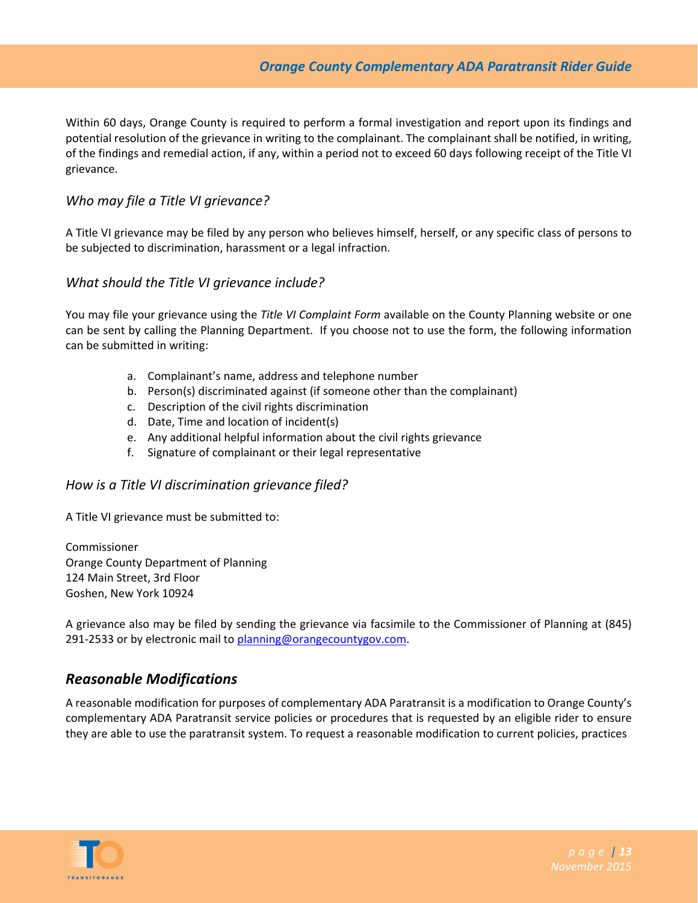Within 60 days, Orange County is required to perform a formal investigation and report upon its findings and potential resolution of the grievance in writing to the complainant. The complainant shall be notified, in writing, of the findings and remedial action, if any, within a period not to exceed 60 days following receipt of the Title VI grievance.

#### *Who may file a Title VI grievance?*

A Title VI grievance may be filed by any person who believes himself, herself, or any specific class of persons to be subjected to discrimination, harassment or a legal infraction.

#### *What should the Title VI grievance include?*

You may file your grievance using the *Title VI Complaint Form* available on the County Planning website or one can be sent by calling the Planning Department. If you choose not to use the form, the following information can be submitted in writing:

- a. Complainant's name, address and telephone number
- b. Person(s) discriminated against (if someone other than the complainant)
- c. Description of the civil rights discrimination
- d. Date, Time and location of incident(s)
- e. Any additional helpful information about the civil rights grievance
- f. Signature of complainant or their legal representative

#### *How is a Title VI discrimination grievance filed?*

A Title VI grievance must be submitted to:

Commissioner Orange County Department of Planning 124 Main Street, 3rd Floor Goshen, New York 10924

A grievance also may be filed by sending the grievance via facsimile to the Commissioner of Planning at (845) 291-2533 or by electronic mail to planning@orangecountygov.com.

## *Reasonable Modifications*

A reasonable modification for purposes of complementary ADA Paratransit is a modification to Orange County's complementary ADA Paratransit service policies or procedures that is requested by an eligible rider to ensure they are able to use the paratransit system. To request a reasonable modification to current policies, practices

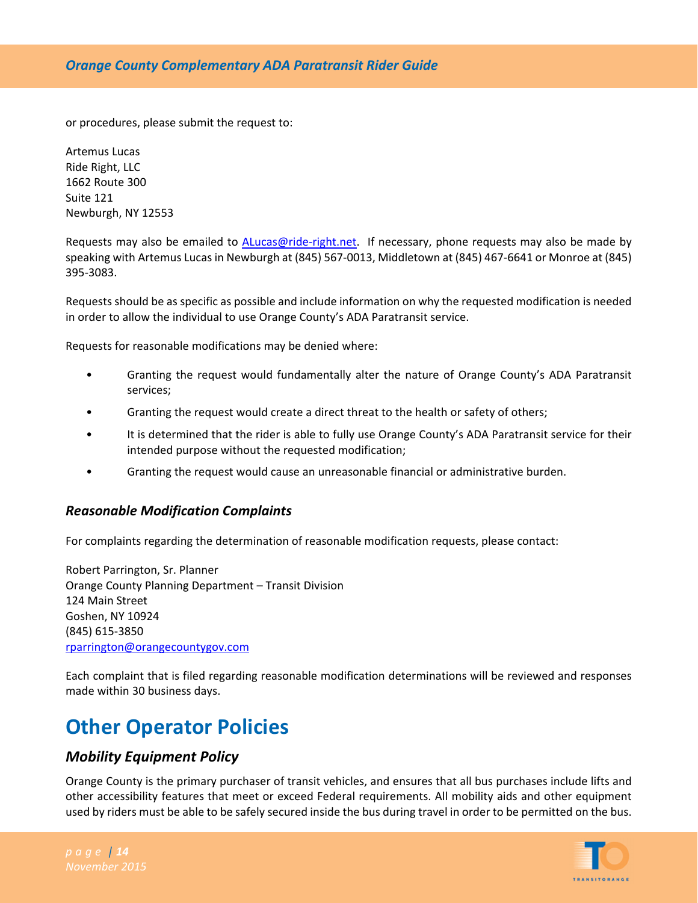or procedures, please submit the request to:

Artemus Lucas Ride Right, LLC 1662 Route 300 Suite 121 Newburgh, NY 12553

Requests may also be emailed to ALucas@ride-right.net. If necessary, phone requests may also be made by speaking with Artemus Lucas in Newburgh at (845) 567‐0013, Middletown at (845) 467‐6641 or Monroe at (845) 395‐3083.

Requests should be as specific as possible and include information on why the requested modification is needed in order to allow the individual to use Orange County's ADA Paratransit service.

Requests for reasonable modifications may be denied where:

- Granting the request would fundamentally alter the nature of Orange County's ADA Paratransit services;
- Granting the request would create a direct threat to the health or safety of others;
- It is determined that the rider is able to fully use Orange County's ADA Paratransit service for their intended purpose without the requested modification;
- Granting the request would cause an unreasonable financial or administrative burden.

#### *Reasonable Modification Complaints*

For complaints regarding the determination of reasonable modification requests, please contact:

Robert Parrington, Sr. Planner Orange County Planning Department – Transit Division 124 Main Street Goshen, NY 10924 (845) 615‐3850 rparrington@orangecountygov.com

Each complaint that is filed regarding reasonable modification determinations will be reviewed and responses made within 30 business days.

# **Other Operator Policies**

#### *Mobility Equipment Policy*

Orange County is the primary purchaser of transit vehicles, and ensures that all bus purchases include lifts and other accessibility features that meet or exceed Federal requirements. All mobility aids and other equipment used by riders must be able to be safely secured inside the bus during travel in order to be permitted on the bus.

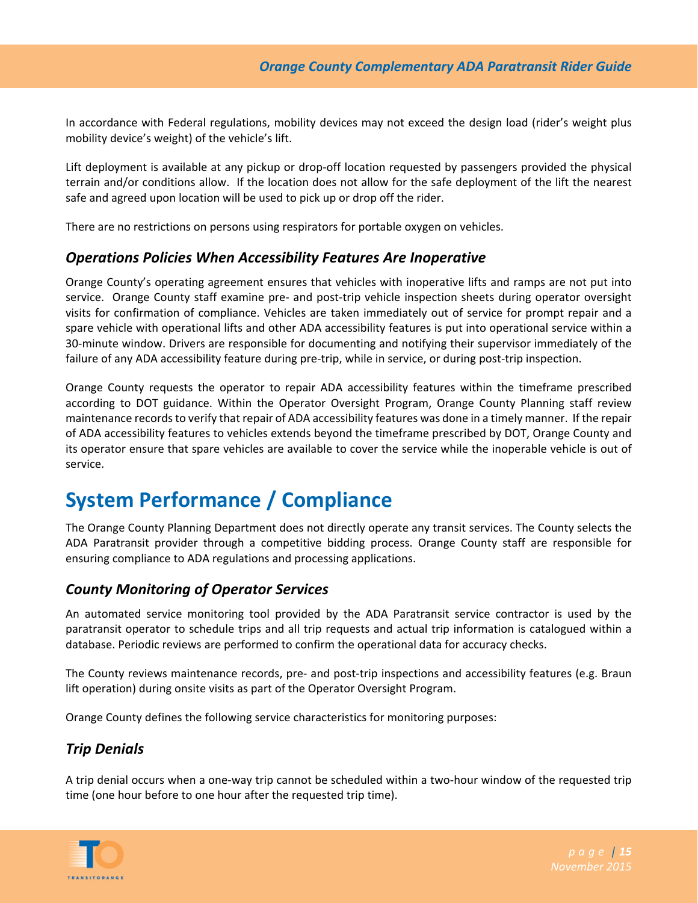In accordance with Federal regulations, mobility devices may not exceed the design load (rider's weight plus mobility device's weight) of the vehicle's lift.

Lift deployment is available at any pickup or drop‐off location requested by passengers provided the physical terrain and/or conditions allow. If the location does not allow for the safe deployment of the lift the nearest safe and agreed upon location will be used to pick up or drop off the rider.

There are no restrictions on persons using respirators for portable oxygen on vehicles.

#### *Operations Policies When Accessibility Features Are Inoperative*

Orange County's operating agreement ensures that vehicles with inoperative lifts and ramps are not put into service. Orange County staff examine pre- and post-trip vehicle inspection sheets during operator oversight visits for confirmation of compliance. Vehicles are taken immediately out of service for prompt repair and a spare vehicle with operational lifts and other ADA accessibility features is put into operational service within a 30‐minute window. Drivers are responsible for documenting and notifying their supervisor immediately of the failure of any ADA accessibility feature during pre-trip, while in service, or during post-trip inspection.

Orange County requests the operator to repair ADA accessibility features within the timeframe prescribed according to DOT guidance. Within the Operator Oversight Program, Orange County Planning staff review maintenance records to verify that repair of ADA accessibility features was done in a timely manner. If the repair of ADA accessibility features to vehicles extends beyond the timeframe prescribed by DOT, Orange County and its operator ensure that spare vehicles are available to cover the service while the inoperable vehicle is out of service.

# **System Performance / Compliance**

The Orange County Planning Department does not directly operate any transit services. The County selects the ADA Paratransit provider through a competitive bidding process. Orange County staff are responsible for ensuring compliance to ADA regulations and processing applications.

## *County Monitoring of Operator Services*

An automated service monitoring tool provided by the ADA Paratransit service contractor is used by the paratransit operator to schedule trips and all trip requests and actual trip information is catalogued within a database. Periodic reviews are performed to confirm the operational data for accuracy checks.

The County reviews maintenance records, pre‐ and post‐trip inspections and accessibility features (e.g. Braun lift operation) during onsite visits as part of the Operator Oversight Program.

Orange County defines the following service characteristics for monitoring purposes:

## *Trip Denials*

A trip denial occurs when a one‐way trip cannot be scheduled within a two‐hour window of the requested trip time (one hour before to one hour after the requested trip time).